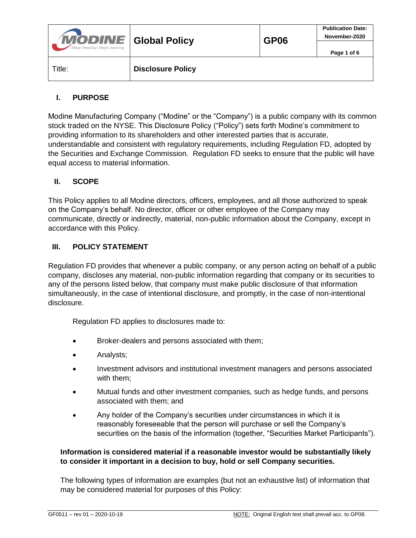| <b>MODINE</b> Global Policy<br>Always Innovating. Always Improving. |                          | <b>GP06</b> | <b>Publication Date:</b><br>November-2020 |
|---------------------------------------------------------------------|--------------------------|-------------|-------------------------------------------|
|                                                                     |                          |             | Page 1 of 6                               |
| Title:                                                              | <b>Disclosure Policy</b> |             |                                           |

# **I. PURPOSE**

Modine Manufacturing Company ("Modine" or the "Company") is a public company with its common stock traded on the NYSE. This Disclosure Policy ("Policy") sets forth Modine's commitment to providing information to its shareholders and other interested parties that is accurate, understandable and consistent with regulatory requirements, including Regulation FD, adopted by the Securities and Exchange Commission. Regulation FD seeks to ensure that the public will have equal access to material information.

## **II. SCOPE**

This Policy applies to all Modine directors, officers, employees, and all those authorized to speak on the Company's behalf. No director, officer or other employee of the Company may communicate, directly or indirectly, material, non-public information about the Company, except in accordance with this Policy.

## **III. POLICY STATEMENT**

Regulation FD provides that whenever a public company, or any person acting on behalf of a public company, discloses any material, non-public information regarding that company or its securities to any of the persons listed below, that company must make public disclosure of that information simultaneously, in the case of intentional disclosure, and promptly, in the case of non-intentional disclosure.

Regulation FD applies to disclosures made to:

- Broker-dealers and persons associated with them;
- Analysts;
- Investment advisors and institutional investment managers and persons associated with them;
- Mutual funds and other investment companies, such as hedge funds, and persons associated with them; and
- Any holder of the Company's securities under circumstances in which it is reasonably foreseeable that the person will purchase or sell the Company's securities on the basis of the information (together, "Securities Market Participants").

### **Information is considered material if a reasonable investor would be substantially likely to consider it important in a decision to buy, hold or sell Company securities.**

The following types of information are examples (but not an exhaustive list) of information that may be considered material for purposes of this Policy: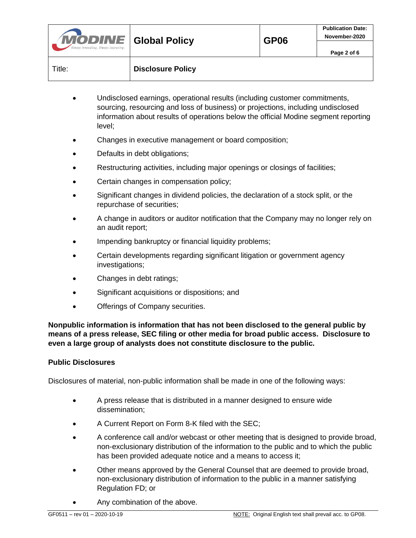| <b>MODINE</b> Global Policy<br>Always Innovating. Always Improving. |                          | <b>GP06</b> | <b>Publication Date:</b><br>November-2020 |
|---------------------------------------------------------------------|--------------------------|-------------|-------------------------------------------|
|                                                                     |                          |             | Page 2 of 6                               |
| Title:                                                              | <b>Disclosure Policy</b> |             |                                           |

- Undisclosed earnings, operational results (including customer commitments, sourcing, resourcing and loss of business) or projections, including undisclosed information about results of operations below the official Modine segment reporting level;
- Changes in executive management or board composition;
- Defaults in debt obligations;
- Restructuring activities, including major openings or closings of facilities;
- Certain changes in compensation policy;
- Significant changes in dividend policies, the declaration of a stock split, or the repurchase of securities;
- A change in auditors or auditor notification that the Company may no longer rely on an audit report;
- Impending bankruptcy or financial liquidity problems;
- Certain developments regarding significant litigation or government agency investigations;
- Changes in debt ratings;
- Significant acquisitions or dispositions; and
- Offerings of Company securities.

**Nonpublic information is information that has not been disclosed to the general public by means of a press release, SEC filing or other media for broad public access. Disclosure to even a large group of analysts does not constitute disclosure to the public.**

### **Public Disclosures**

Disclosures of material, non-public information shall be made in one of the following ways:

- A press release that is distributed in a manner designed to ensure wide dissemination;
- A Current Report on Form 8-K filed with the SEC;
- A conference call and/or webcast or other meeting that is designed to provide broad, non-exclusionary distribution of the information to the public and to which the public has been provided adequate notice and a means to access it;
- Other means approved by the General Counsel that are deemed to provide broad, non-exclusionary distribution of information to the public in a manner satisfying Regulation FD; or
- Any combination of the above.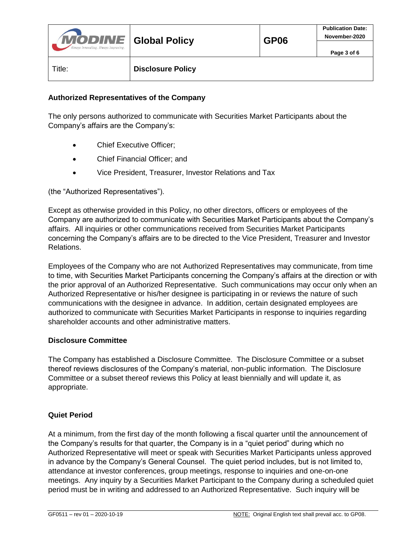| <b>MODINE</b> Global Policy<br>Always Innovating. Always Improving. |                          | <b>GP06</b> | <b>Publication Date:</b><br>November-2020 |
|---------------------------------------------------------------------|--------------------------|-------------|-------------------------------------------|
|                                                                     |                          |             | Page 3 of 6                               |
| Title:                                                              | <b>Disclosure Policy</b> |             |                                           |

### **Authorized Representatives of the Company**

The only persons authorized to communicate with Securities Market Participants about the Company's affairs are the Company's:

- Chief Executive Officer;
- Chief Financial Officer; and
- Vice President, Treasurer, Investor Relations and Tax

(the "Authorized Representatives").

Except as otherwise provided in this Policy, no other directors, officers or employees of the Company are authorized to communicate with Securities Market Participants about the Company's affairs. All inquiries or other communications received from Securities Market Participants concerning the Company's affairs are to be directed to the Vice President, Treasurer and Investor Relations.

Employees of the Company who are not Authorized Representatives may communicate, from time to time, with Securities Market Participants concerning the Company's affairs at the direction or with the prior approval of an Authorized Representative. Such communications may occur only when an Authorized Representative or his/her designee is participating in or reviews the nature of such communications with the designee in advance. In addition, certain designated employees are authorized to communicate with Securities Market Participants in response to inquiries regarding shareholder accounts and other administrative matters.

### **Disclosure Committee**

The Company has established a Disclosure Committee. The Disclosure Committee or a subset thereof reviews disclosures of the Company's material, non-public information. The Disclosure Committee or a subset thereof reviews this Policy at least biennially and will update it, as appropriate.

### **Quiet Period**

At a minimum, from the first day of the month following a fiscal quarter until the announcement of the Company's results for that quarter, the Company is in a "quiet period" during which no Authorized Representative will meet or speak with Securities Market Participants unless approved in advance by the Company's General Counsel. The quiet period includes, but is not limited to, attendance at investor conferences, group meetings, response to inquiries and one-on-one meetings. Any inquiry by a Securities Market Participant to the Company during a scheduled quiet period must be in writing and addressed to an Authorized Representative. Such inquiry will be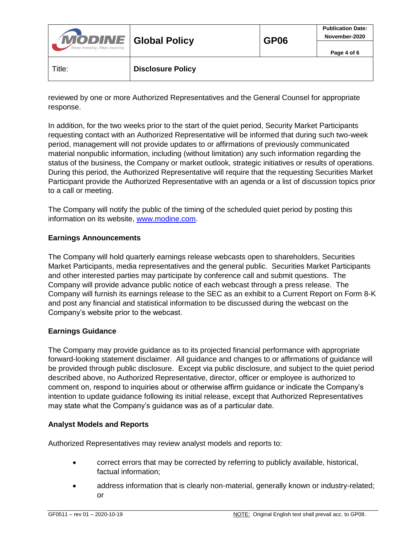| <b>MODINE</b> Global Policy<br>Always Innovating. Always Improving. |                          | GP <sub>06</sub> | <b>Publication Date:</b><br>November-2020 |
|---------------------------------------------------------------------|--------------------------|------------------|-------------------------------------------|
|                                                                     |                          |                  | Page 4 of 6                               |
| Title:                                                              | <b>Disclosure Policy</b> |                  |                                           |

reviewed by one or more Authorized Representatives and the General Counsel for appropriate response.

In addition, for the two weeks prior to the start of the quiet period, Security Market Participants requesting contact with an Authorized Representative will be informed that during such two-week period, management will not provide updates to or affirmations of previously communicated material nonpublic information, including (without limitation) any such information regarding the status of the business, the Company or market outlook, strategic initiatives or results of operations. During this period, the Authorized Representative will require that the requesting Securities Market Participant provide the Authorized Representative with an agenda or a list of discussion topics prior to a call or meeting.

The Company will notify the public of the timing of the scheduled quiet period by posting this information on its website, [www.modine.com.](http://www.modine.com/)

## **Earnings Announcements**

The Company will hold quarterly earnings release webcasts open to shareholders, Securities Market Participants, media representatives and the general public. Securities Market Participants and other interested parties may participate by conference call and submit questions. The Company will provide advance public notice of each webcast through a press release. The Company will furnish its earnings release to the SEC as an exhibit to a Current Report on Form 8-K and post any financial and statistical information to be discussed during the webcast on the Company's website prior to the webcast.

## **Earnings Guidance**

The Company may provide guidance as to its projected financial performance with appropriate forward-looking statement disclaimer. All guidance and changes to or affirmations of guidance will be provided through public disclosure. Except via public disclosure, and subject to the quiet period described above, no Authorized Representative, director, officer or employee is authorized to comment on, respond to inquiries about or otherwise affirm guidance or indicate the Company's intention to update guidance following its initial release, except that Authorized Representatives may state what the Company's guidance was as of a particular date.

## **Analyst Models and Reports**

Authorized Representatives may review analyst models and reports to:

- correct errors that may be corrected by referring to publicly available, historical, factual information;
- address information that is clearly non-material, generally known or industry-related; or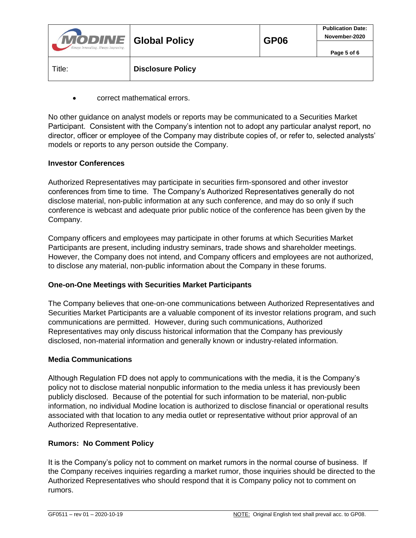| <b>MODINE</b> Global Policy<br>Always Innovating. Always Improving. |                          | <b>GP06</b> | <b>Publication Date:</b><br>November-2020 |
|---------------------------------------------------------------------|--------------------------|-------------|-------------------------------------------|
|                                                                     |                          |             | Page 5 of 6                               |
| Title:                                                              | <b>Disclosure Policy</b> |             |                                           |

correct mathematical errors.

No other guidance on analyst models or reports may be communicated to a Securities Market Participant. Consistent with the Company's intention not to adopt any particular analyst report, no director, officer or employee of the Company may distribute copies of, or refer to, selected analysts' models or reports to any person outside the Company.

### **Investor Conferences**

Authorized Representatives may participate in securities firm-sponsored and other investor conferences from time to time. The Company's Authorized Representatives generally do not disclose material, non-public information at any such conference, and may do so only if such conference is webcast and adequate prior public notice of the conference has been given by the Company.

Company officers and employees may participate in other forums at which Securities Market Participants are present, including industry seminars, trade shows and shareholder meetings. However, the Company does not intend, and Company officers and employees are not authorized, to disclose any material, non-public information about the Company in these forums.

### **One-on-One Meetings with Securities Market Participants**

The Company believes that one-on-one communications between Authorized Representatives and Securities Market Participants are a valuable component of its investor relations program, and such communications are permitted. However, during such communications, Authorized Representatives may only discuss historical information that the Company has previously disclosed, non-material information and generally known or industry-related information.

### **Media Communications**

Although Regulation FD does not apply to communications with the media, it is the Company's policy not to disclose material nonpublic information to the media unless it has previously been publicly disclosed. Because of the potential for such information to be material, non-public information, no individual Modine location is authorized to disclose financial or operational results associated with that location to any media outlet or representative without prior approval of an Authorized Representative.

## **Rumors: No Comment Policy**

It is the Company's policy not to comment on market rumors in the normal course of business. If the Company receives inquiries regarding a market rumor, those inquiries should be directed to the Authorized Representatives who should respond that it is Company policy not to comment on rumors.